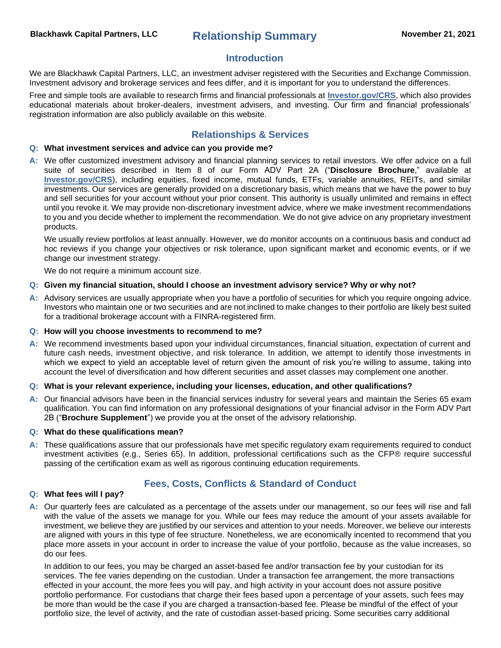# **Introduction**

We are Blackhawk Capital Partners, LLC, an investment adviser registered with the Securities and Exchange Commission. Investment advisory and brokerage services and fees differ, and it is important for you to understand the differences.

Free and simple tools are available to research firms and financial professionals at **[Investor.gov/CRS](https://www.investor.gov/CRS)**, which also provides educational materials about broker-dealers, investment advisers, and investing. Our firm and financial professionals' registration information are also publicly available on this website.

# **Relationships & Services**

# **Q: What investment services and advice can you provide me?**

**A:** We offer customized investment advisory and financial planning services to retail investors. We offer advice on a full suite of securities described in Item 8 of our Form ADV Part 2A ("**Disclosure Brochure**," available at **[Investor.gov/CRS](https://www.investor.gov/CRS)**), including equities, fixed income, mutual funds, ETFs, variable annuities, REITs, and similar investments. Our services are generally provided on a discretionary basis, which means that we have the power to buy and sell securities for your account without your prior consent. This authority is usually unlimited and remains in effect until you revoke it. We may provide non-discretionary investment advice, where we make investment recommendations to you and you decide whether to implement the recommendation. We do not give advice on any proprietary investment products.

We usually review portfolios at least annually. However, we do monitor accounts on a continuous basis and conduct ad hoc reviews if you change your objectives or risk tolerance, upon significant market and economic events, or if we change our investment strategy.

We do not require a minimum account size.

#### **Q: Given my financial situation, should I choose an investment advisory service? Why or why not?**

- **A:** Advisory services are usually appropriate when you have a portfolio of securities for which you require ongoing advice. Investors who maintain one or two securities and are not inclined to make changes to their portfolio are likely best suited for a traditional brokerage account with a FINRA-registered firm.
- **Q: How will you choose investments to recommend to me?**
- **A:** We recommend investments based upon your individual circumstances, financial situation, expectation of current and future cash needs, investment objective, and risk tolerance. In addition, we attempt to identify those investments in which we expect to yield an acceptable level of return given the amount of risk you're willing to assume, taking into account the level of diversification and how different securities and asset classes may complement one another.

#### **Q: What is your relevant experience, including your licenses, education, and other qualifications?**

**A:** Our financial advisors have been in the financial services industry for several years and maintain the Series 65 exam qualification. You can find information on any professional designations of your financial advisor in the Form ADV Part 2B ("**Brochure Supplement**") we provide you at the onset of the advisory relationship.

#### **Q: What do these qualifications mean?**

**A:** These qualifications assure that our professionals have met specific regulatory exam requirements required to conduct investment activities (e.g., Series 65). In addition, professional certifications such as the CFP® require successful passing of the certification exam as well as rigorous continuing education requirements.

# **Fees, Costs, Conflicts & Standard of Conduct**

# **Q: What fees will I pay?**

**A:** Our quarterly fees are calculated as a percentage of the assets under our management, so our fees will rise and fall with the value of the assets we manage for you. While our fees may reduce the amount of your assets available for investment, we believe they are justified by our services and attention to your needs. Moreover, we believe our interests are aligned with yours in this type of fee structure. Nonetheless, we are economically incented to recommend that you place more assets in your account in order to increase the value of your portfolio, because as the value increases, so do our fees.

In addition to our fees, you may be charged an asset-based fee and/or transaction fee by your custodian for its services. The fee varies depending on the custodian. Under a transaction fee arrangement, the more transactions effected in your account, the more fees you will pay, and high activity in your account does not assure positive portfolio performance. For custodians that charge their fees based upon a percentage of your assets, such fees may be more than would be the case if you are charged a transaction-based fee. Please be mindful of the effect of your portfolio size, the level of activity, and the rate of custodian asset-based pricing. Some securities carry additional